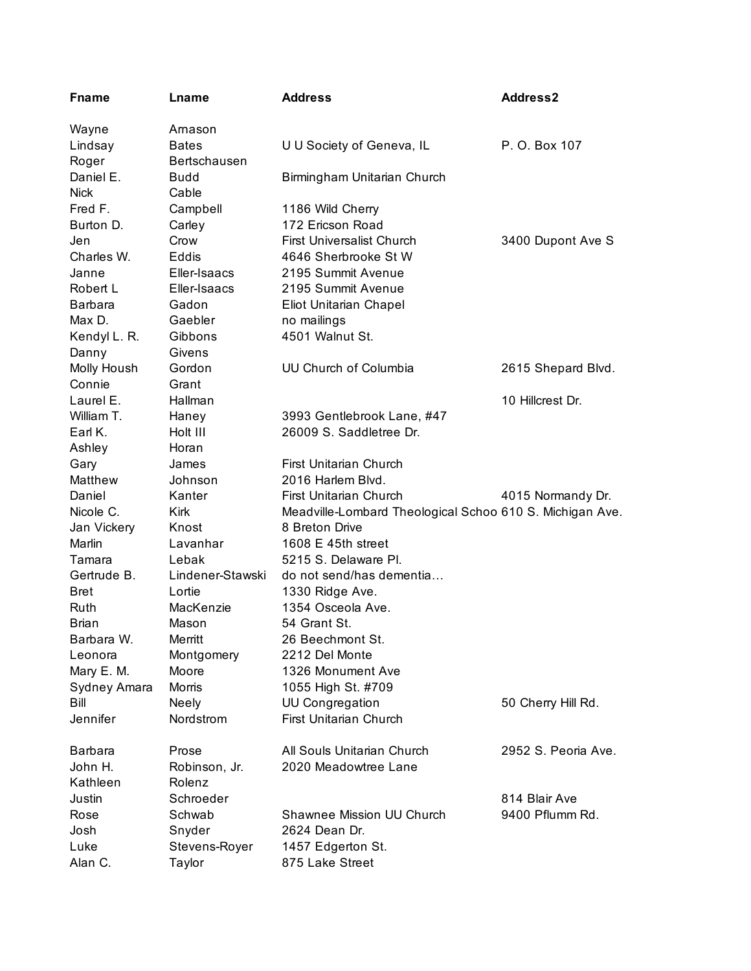| <b>Fname</b>   | Lname               | <b>Address</b>                                           | <b>Address2</b>     |
|----------------|---------------------|----------------------------------------------------------|---------------------|
| Wayne          | Arnason             |                                                          |                     |
| Lindsay        | <b>Bates</b>        | U U Society of Geneva, IL                                | P. O. Box 107       |
| Roger          | <b>Bertschausen</b> |                                                          |                     |
| Daniel E.      | <b>Budd</b>         | Birmingham Unitarian Church                              |                     |
| <b>Nick</b>    | Cable               |                                                          |                     |
| Fred F.        | Campbell            | 1186 Wild Cherry                                         |                     |
| Burton D.      | Carley              | 172 Ericson Road                                         |                     |
| Jen            | Crow                | <b>First Universalist Church</b>                         | 3400 Dupont Ave S   |
| Charles W.     | Eddis               | 4646 Sherbrooke St W                                     |                     |
| Janne          | Eller-Isaacs        | 2195 Summit Avenue                                       |                     |
| Robert L       | Eller-Isaacs        | 2195 Summit Avenue                                       |                     |
| <b>Barbara</b> | Gadon               | Eliot Unitarian Chapel                                   |                     |
| Max D.         | Gaebler             | no mailings                                              |                     |
| Kendyl L. R.   | Gibbons             | 4501 Walnut St.                                          |                     |
| Danny          | Givens              |                                                          |                     |
| Molly Housh    | Gordon              | UU Church of Columbia                                    | 2615 Shepard Blvd.  |
| Connie         | Grant               |                                                          |                     |
| Laurel E.      | Hallman             |                                                          | 10 Hillcrest Dr.    |
| William T.     | Haney               | 3993 Gentlebrook Lane, #47                               |                     |
| Earl K.        | Holt III            | 26009 S. Saddletree Dr.                                  |                     |
| Ashley         | Horan               |                                                          |                     |
| Gary           | James               | First Unitarian Church                                   |                     |
| Matthew        | Johnson             | 2016 Harlem Blvd.                                        |                     |
| Daniel         | Kanter              | First Unitarian Church                                   | 4015 Normandy Dr.   |
| Nicole C.      | Kirk                | Meadville-Lombard Theological Schoo 610 S. Michigan Ave. |                     |
| Jan Vickery    | Knost               | 8 Breton Drive                                           |                     |
| Marlin         | Lavanhar            | 1608 E 45th street                                       |                     |
| Tamara         | Lebak               | 5215 S. Delaware Pl.                                     |                     |
| Gertrude B.    | Lindener-Stawski    | do not send/has dementia                                 |                     |
| Bret           | Lortie              | 1330 Ridge Ave.                                          |                     |
| Ruth           | MacKenzie           | 1354 Osceola Ave.                                        |                     |
| <b>Brian</b>   | Mason               | 54 Grant St.                                             |                     |
| Barbara W.     | Merritt             | 26 Beechmont St.                                         |                     |
| Leonora        | Montgomery          | 2212 Del Monte                                           |                     |
| Mary E. M.     | Moore               | 1326 Monument Ave                                        |                     |
| Sydney Amara   | <b>Morris</b>       | 1055 High St. #709                                       |                     |
| Bill           | <b>Neely</b>        | <b>UU Congregation</b>                                   | 50 Cherry Hill Rd.  |
| Jennifer       | Nordstrom           | First Unitarian Church                                   |                     |
| <b>Barbara</b> | Prose               | All Souls Unitarian Church                               | 2952 S. Peoria Ave. |
| John H.        | Robinson, Jr.       | 2020 Meadowtree Lane                                     |                     |
| Kathleen       | Rolenz              |                                                          |                     |
| Justin         | Schroeder           |                                                          | 814 Blair Ave       |
| Rose           | Schwab              | Shawnee Mission UU Church                                | 9400 Pflumm Rd.     |
| Josh           | Snyder              | 2624 Dean Dr.                                            |                     |
| Luke           | Stevens-Royer       | 1457 Edgerton St.                                        |                     |
| Alan C.        | Taylor              | 875 Lake Street                                          |                     |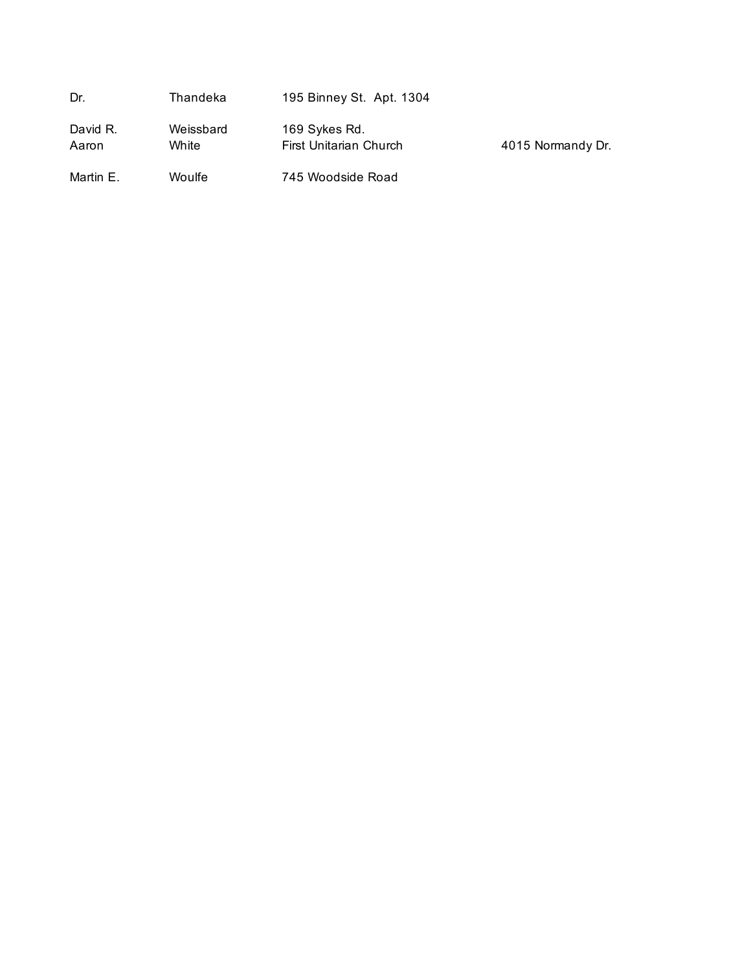| Dr.               | Thandeka           | 195 Binney St. Apt. 1304                |                   |
|-------------------|--------------------|-----------------------------------------|-------------------|
| David R.<br>Aaron | Weissbard<br>White | 169 Sykes Rd.<br>First Unitarian Church | 4015 Normandy Dr. |
| Martin E.         | Woulfe             | 745 Woodside Road                       |                   |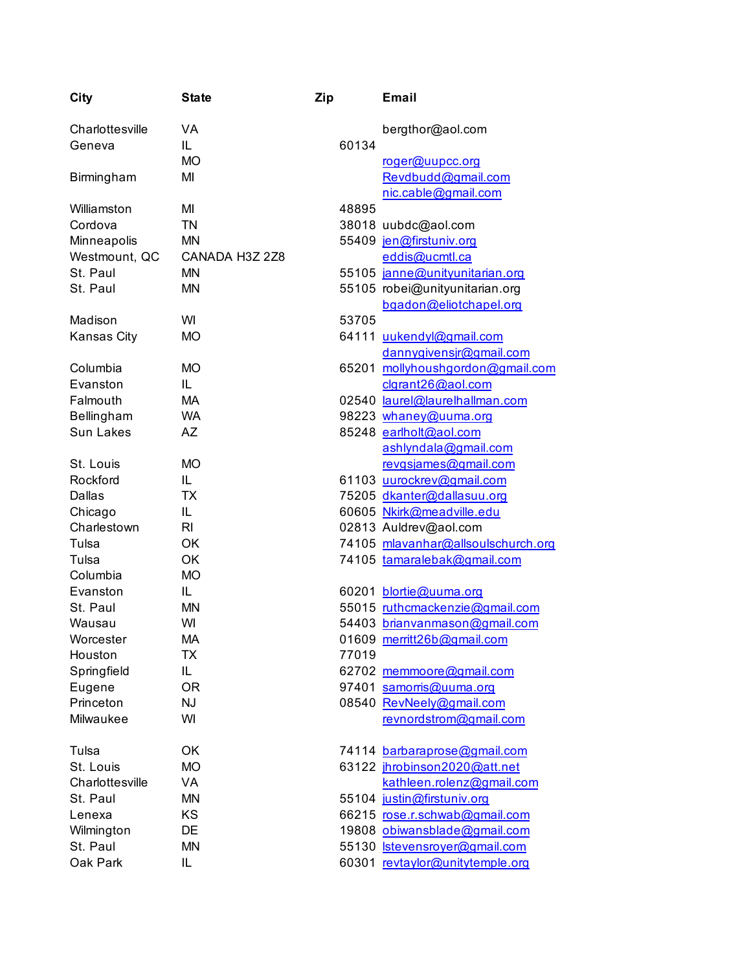| City             | <b>State</b>   | Zip   | <b>Email</b>                       |
|------------------|----------------|-------|------------------------------------|
| Charlottesville  | VA             |       | bergthor@aol.com                   |
| Geneva           | IL.            | 60134 |                                    |
|                  | <b>MO</b>      |       | roger@uupcc.org                    |
| Birmingham       | MI             |       | Revdbudd@gmail.com                 |
|                  |                |       | nic.cable@gmail.com                |
| Williamston      | MI             | 48895 |                                    |
| Cordova          | <b>TN</b>      |       | 38018 uubdc@aol.com                |
| Minneapolis      | <b>MN</b>      |       | 55409 jen@firstuniv.org            |
| Westmount, QC    | CANADA H3Z 2Z8 |       | eddis@ucmtl.ca                     |
| St. Paul         | MN             |       | 55105 janne@unityunitarian.org     |
| St. Paul         | MN             |       | 55105 robei@unityunitarian.org     |
|                  |                |       | bgadon@eliotchapel.org             |
| Madison          | WI             | 53705 |                                    |
| Kansas City      | <b>MO</b>      |       | 64111 uukendyl@gmail.com           |
|                  |                |       | dannygivensjr@gmail.com            |
| Columbia         | <b>MO</b>      |       | 65201 mollyhoushgordon@gmail.com   |
| Evanston         | IL.            |       | clgrant26@aol.com                  |
| Falmouth         | МA             |       | 02540 laurel@laurelhallman.com     |
| Bellingham       | <b>WA</b>      |       | 98223 whaney@uuma.org              |
| <b>Sun Lakes</b> | AΖ             |       | 85248 earlholt@aol.com             |
|                  |                |       | ashlyndala@gmail.com               |
| St. Louis        | <b>MO</b>      |       | revgsjames@gmail.com               |
| Rockford         | IL.            |       | 61103 uurockrev@gmail.com          |
| <b>Dallas</b>    | ТX             |       | 75205 dkanter@dallasuu.org         |
| Chicago          | IL             |       | 60605 Nkirk@meadville.edu          |
| Charlestown      | RI             |       | 02813 Auldrev@aol.com              |
| Tulsa            | OK             |       | 74105 mlavanhar@allsoulschurch.org |
| Tulsa            | OK             |       | 74105 tamaralebak@gmail.com        |
| Columbia         | <b>MO</b>      |       |                                    |
| Evanston         | IL             |       | 60201 blortie@uuma.org             |
| St. Paul         | MN             |       | 55015 ruthcmackenzie@gmail.com     |
| Wausau           | WI             |       | 54403 brianvanmason@gmail.com      |
| Worcester        | МA             |       | 01609 merritt26b@gmail.com         |
| Houston          | ТX             | 77019 |                                    |
| Springfield      | IL.            |       | 62702 memmoore@gmail.com           |
| Eugene           | 0R             |       | 97401 samorris@uuma.org            |
| Princeton        | <b>NJ</b>      |       | 08540 RevNeely@gmail.com           |
| Milwaukee        | WI             |       | revnordstrom@gmail.com             |
| Tulsa            | OK             |       | 74114 barbaraprose@gmail.com       |
| St. Louis        | <b>MO</b>      |       | 63122 jhrobinson2020@att.net       |
| Charlottesville  | VA             |       | kathleen.rolenz@gmail.com          |
| St. Paul         | MN             |       | 55104 justin@firstuniv.org         |
| Lenexa           | KS             |       | 66215 rose.r.schwab@gmail.com      |
| Wilmington       | DE             |       | 19808 obiwansblade@gmail.com       |
| St. Paul         | MN             |       | 55130 stevensroyer@gmail.com       |
| Oak Park         | IL             |       | 60301 revtaylor@unitytemple.org    |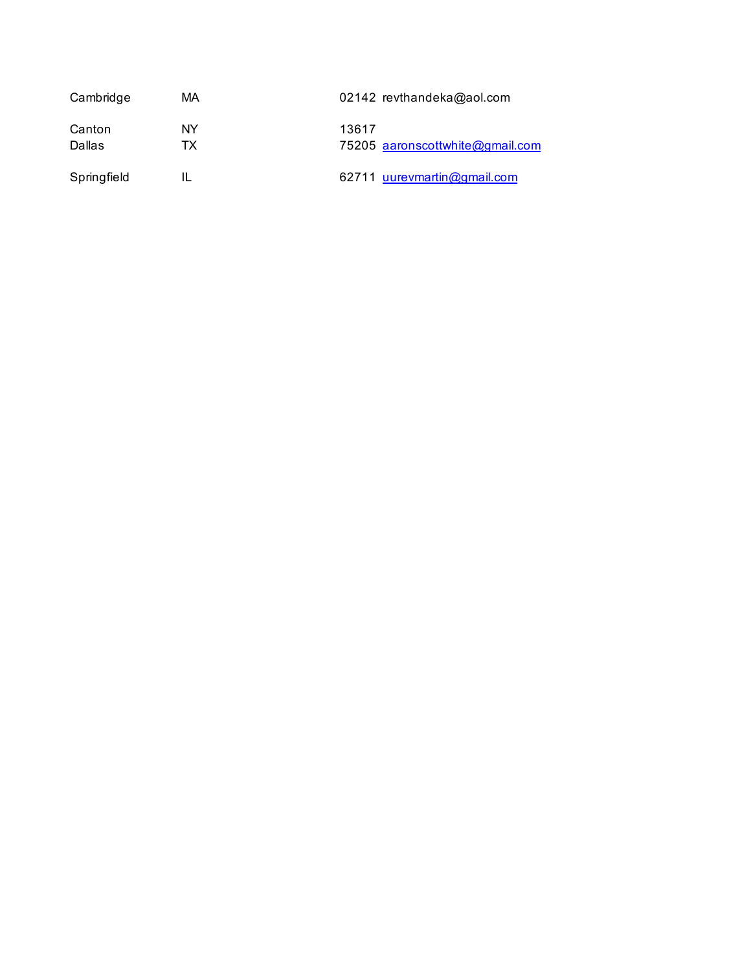| Cambridge   | МA | 02142 revthandeka@aol.com       |  |  |
|-------------|----|---------------------------------|--|--|
| Canton      | NY | 13617                           |  |  |
| Dallas      | тх | 75205 aaronscottwhite@gmail.com |  |  |
| Springfield |    | 62711 uurevmartin@gmail.com     |  |  |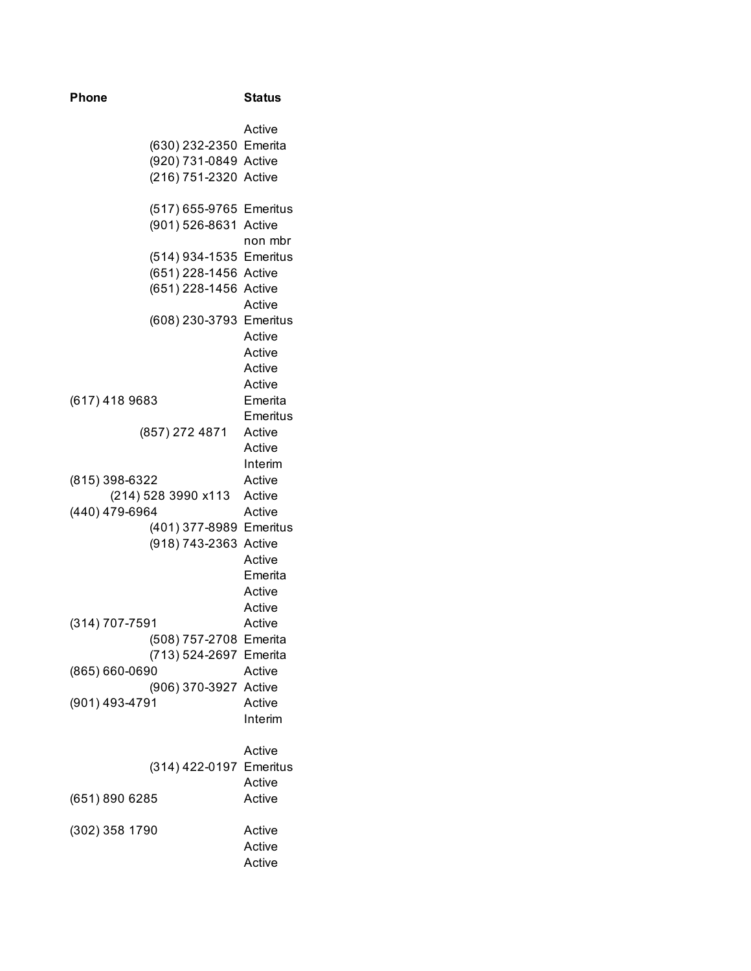| <b>Phone</b>                          |                |  | <b>Status</b>                                                                             |
|---------------------------------------|----------------|--|-------------------------------------------------------------------------------------------|
|                                       |                |  | Active<br>(630) 232-2350 Emerita<br>(920) 731-0849 Active<br>(216) 751-2320 Active        |
|                                       |                |  | (517) 655-9765 Emeritus<br>(901) 526-8631 Active<br>non mbr                               |
|                                       |                |  | (514) 934-1535 Emeritus<br>(651) 228-1456 Active<br>(651) 228-1456 Active<br>Active       |
|                                       |                |  | (608) 230-3793 Emeritus<br>Active<br>Active                                               |
| (617) 418 9683                        |                |  | Active<br>Active<br>Emerita<br>Emeritus                                                   |
|                                       | (857) 272 4871 |  | Active<br>Active<br>Interim                                                               |
| (815) 398-6322<br>(214) 528 3990 x113 |                |  | Active<br>Active                                                                          |
| (440) 479-6964                        |                |  | Active<br>(401) 377-8989 Emeritus<br>(918) 743-2363 Active<br>Active<br>Emerita<br>Active |
| (314) 707-7591                        |                |  | Active<br>Active<br>(508) 757-2708 Emerita                                                |
| (865) 660-0690                        |                |  | (713) 524-2697 Emerita<br>Active<br>(906) 370-3927 Active                                 |
| (901) 493-4791                        |                |  | Active<br>Interim                                                                         |
|                                       |                |  | Active<br>(314) 422-0197 Emeritus<br>Active                                               |
| (651) 890 6285                        |                |  | Active                                                                                    |
| (302) 358 1790                        |                |  | Active<br>Active<br>Active                                                                |